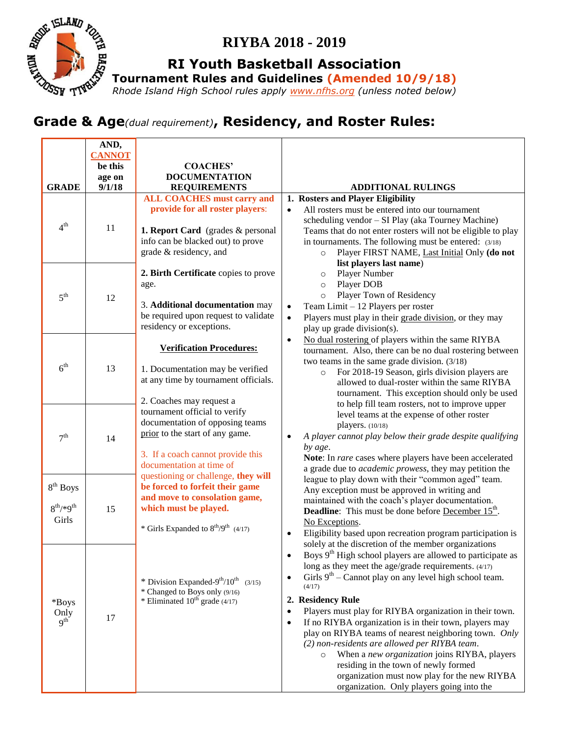

# **RIYBA 2018 - 2019**

**RI Youth Basketball Association**

**Tournament Rules and Guidelines (Amended 10/9/18)**

*Rhode Island High School rules apply [www.nfhs.org](http://www.nfhs.org/) (unless noted below)* 

# **Grade & Age***(dual requirement)***, Residency, and Roster Rules:**<br>Grade & Age*(dual requirement)***, Residency, and Roster Rules:**

|                                     | AND,                     |                                                                                               |                                                                                                           |
|-------------------------------------|--------------------------|-----------------------------------------------------------------------------------------------|-----------------------------------------------------------------------------------------------------------|
|                                     | <b>CANNOT</b><br>be this | <b>COACHES'</b>                                                                               |                                                                                                           |
|                                     | age on                   | <b>DOCUMENTATION</b>                                                                          |                                                                                                           |
| <b>GRADE</b>                        | 9/1/18                   | <b>REQUIREMENTS</b>                                                                           | <b>ADDITIONAL RULINGS</b>                                                                                 |
|                                     |                          | <b>ALL COACHES must carry and</b>                                                             | 1. Rosters and Player Eligibility                                                                         |
| 4 <sup>th</sup>                     | 11                       | provide for all roster players:                                                               | All rosters must be entered into our tournament<br>$\bullet$                                              |
|                                     |                          |                                                                                               | scheduling vendor - SI Play (aka Tourney Machine)                                                         |
|                                     |                          | 1. Report Card (grades & personal                                                             | Teams that do not enter rosters will not be eligible to play                                              |
|                                     |                          | info can be blacked out) to prove                                                             | in tournaments. The following must be entered: (3/18)                                                     |
|                                     |                          | grade & residency, and                                                                        | Player FIRST NAME, Last Initial Only (do not<br>$\circ$                                                   |
| 5 <sup>th</sup>                     | 12                       |                                                                                               | list players last name)                                                                                   |
|                                     |                          | 2. Birth Certificate copies to prove                                                          | Player Number<br>$\circ$                                                                                  |
|                                     |                          | age.                                                                                          | Player DOB<br>$\circ$                                                                                     |
|                                     |                          |                                                                                               | Player Town of Residency<br>$\circ$                                                                       |
|                                     |                          | 3. Additional documentation may                                                               | Team Limit - 12 Players per roster<br>$\bullet$                                                           |
|                                     |                          | be required upon request to validate                                                          | Players must play in their grade division, or they may<br>$\bullet$                                       |
|                                     |                          | residency or exceptions.                                                                      | play up grade division(s).                                                                                |
|                                     | 13<br>14                 | <b>Verification Procedures:</b>                                                               | No dual rostering of players within the same RIYBA<br>$\bullet$                                           |
| 6 <sup>th</sup><br>7 <sup>th</sup>  |                          |                                                                                               | tournament. Also, there can be no dual rostering between                                                  |
|                                     |                          | 1. Documentation may be verified                                                              | two teams in the same grade division. $(3/18)$                                                            |
|                                     |                          | at any time by tournament officials.                                                          | For 2018-19 Season, girls division players are<br>$\circ$<br>allowed to dual-roster within the same RIYBA |
|                                     |                          |                                                                                               | tournament. This exception should only be used                                                            |
|                                     |                          | 2. Coaches may request a                                                                      | to help fill team rosters, not to improve upper                                                           |
|                                     |                          | tournament official to verify                                                                 | level teams at the expense of other roster                                                                |
|                                     |                          | documentation of opposing teams                                                               | players. (10/18)                                                                                          |
|                                     |                          | prior to the start of any game.                                                               | A player cannot play below their grade despite qualifying<br>$\bullet$                                    |
|                                     |                          |                                                                                               | by age.                                                                                                   |
|                                     |                          | 3. If a coach cannot provide this                                                             | Note: In rare cases where players have been accelerated                                                   |
|                                     |                          | documentation at time of                                                                      | a grade due to <i>academic prowess</i> , they may petition the                                            |
|                                     |                          | questioning or challenge, they will<br>be forced to forfeit their game                        | league to play down with their "common aged" team.                                                        |
| $8^{th}$ Boys                       |                          | and move to consolation game,                                                                 | Any exception must be approved in writing and                                                             |
| $8^{th}$ /*9 <sup>th</sup><br>Girls | 15                       | which must be played.                                                                         | maintained with the coach's player documentation.                                                         |
|                                     |                          |                                                                                               | <b>Deadline:</b> This must be done before <b>December 15<sup>th</sup></b> .                               |
|                                     |                          | * Girls Expanded to $8^{th}/9^{th}$ (4/17)                                                    | No Exceptions.<br>Eligibility based upon recreation program participation is<br>$\bullet$                 |
|                                     |                          |                                                                                               | solely at the discretion of the member organizations                                                      |
| *Boys<br>Only<br>9 <sup>th</sup>    | 17                       |                                                                                               | Boys 9 <sup>th</sup> High school players are allowed to participate as<br>$\bullet$                       |
|                                     |                          |                                                                                               | long as they meet the age/grade requirements. (4/17)                                                      |
|                                     |                          |                                                                                               | Girls $9th$ – Cannot play on any level high school team.<br>$\bullet$                                     |
|                                     |                          | * Division Expanded-9 <sup>th</sup> /10 <sup>th</sup> (3/15)<br>* Changed to Boys only (9/16) | (4/17)                                                                                                    |
|                                     |                          | * Eliminated $10^{th}$ grade (4/17)                                                           | 2. Residency Rule                                                                                         |
|                                     |                          |                                                                                               | Players must play for RIYBA organization in their town.<br>$\bullet$                                      |
|                                     |                          |                                                                                               | If no RIYBA organization is in their town, players may<br>$\bullet$                                       |
|                                     |                          |                                                                                               | play on RIYBA teams of nearest neighboring town. Only                                                     |
|                                     |                          |                                                                                               | (2) non-residents are allowed per RIYBA team.                                                             |
|                                     |                          |                                                                                               | When a new organization joins RIYBA, players<br>$\circ$                                                   |
|                                     |                          |                                                                                               | residing in the town of newly formed                                                                      |
|                                     |                          |                                                                                               | organization must now play for the new RIYBA                                                              |
|                                     |                          |                                                                                               | organization. Only players going into the                                                                 |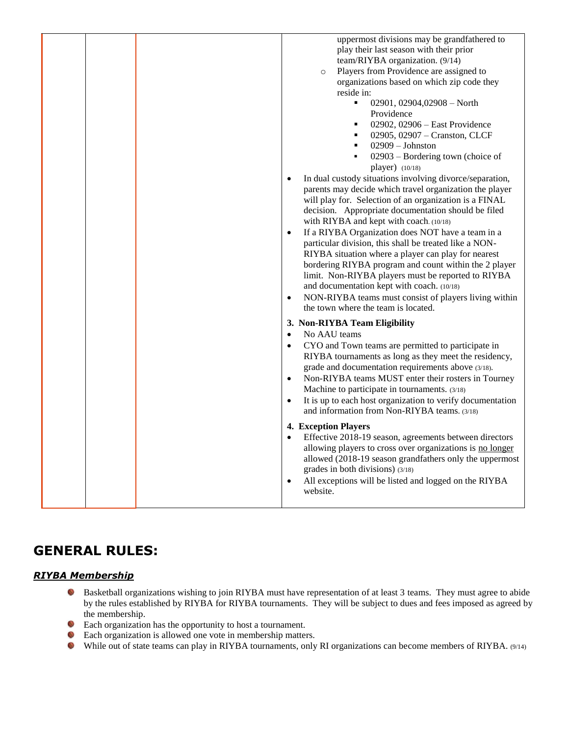| uppermost divisions may be grandfathered to<br>play their last season with their prior |
|----------------------------------------------------------------------------------------|
| team/RIYBA organization. (9/14)                                                        |
| Players from Providence are assigned to<br>$\circ$                                     |
| organizations based on which zip code they                                             |
| reside in:                                                                             |
| $\blacksquare$<br>02901, 02904, 02908 - North                                          |
| Providence                                                                             |
| 02902, 02906 $-$ East Providence<br>$\blacksquare$                                     |
| 02905, 02907 - Cranston, CLCF                                                          |
| $02909 - Johnston$<br>٠                                                                |
|                                                                                        |
| 02903 - Bordering town (choice of<br>٠                                                 |
| player) (10/18)                                                                        |
| In dual custody situations involving divorce/separation,<br>$\bullet$                  |
| parents may decide which travel organization the player                                |
| will play for. Selection of an organization is a FINAL                                 |
| decision. Appropriate documentation should be filed                                    |
| with RIYBA and kept with coach. (10/18)                                                |
| If a RIYBA Organization does NOT have a team in a<br>$\bullet$                         |
| particular division, this shall be treated like a NON-                                 |
| RIYBA situation where a player can play for nearest                                    |
| bordering RIYBA program and count within the 2 player                                  |
| limit. Non-RIYBA players must be reported to RIYBA                                     |
| and documentation kept with coach. (10/18)                                             |
| NON-RIYBA teams must consist of players living within<br>$\bullet$                     |
| the town where the team is located.                                                    |
| 3. Non-RIYBA Team Eligibility                                                          |
| No AAU teams<br>$\bullet$                                                              |
| CYO and Town teams are permitted to participate in<br>$\bullet$                        |
| RIYBA tournaments as long as they meet the residency,                                  |
| grade and documentation requirements above (3/18).                                     |
| Non-RIYBA teams MUST enter their rosters in Tourney<br>$\bullet$                       |
| Machine to participate in tournaments. (3/18)                                          |
| It is up to each host organization to verify documentation<br>$\bullet$                |
| and information from Non-RIYBA teams. (3/18)                                           |
| <b>4. Exception Players</b>                                                            |
|                                                                                        |
| Effective 2018-19 season, agreements between directors<br>$\bullet$                    |
| allowing players to cross over organizations is no longer                              |
| allowed (2018-19 season grandfathers only the uppermost                                |
| grades in both divisions) (3/18)                                                       |
| All exceptions will be listed and logged on the RIYBA<br>$\bullet$                     |
| website.                                                                               |
|                                                                                        |

# **GENERAL RULES:**

## *RIYBA Membership*

- Basketball organizations wishing to join RIYBA must have representation of at least 3 teams. They must agree to abide by the rules established by RIYBA for RIYBA tournaments. They will be subject to dues and fees imposed as agreed by the membership.
- Each organization has the opportunity to host a tournament.
- **Each organization is allowed one vote in membership matters.**
- While out of state teams can play in RIYBA tournaments, only RI organizations can become members of RIYBA. (9/14)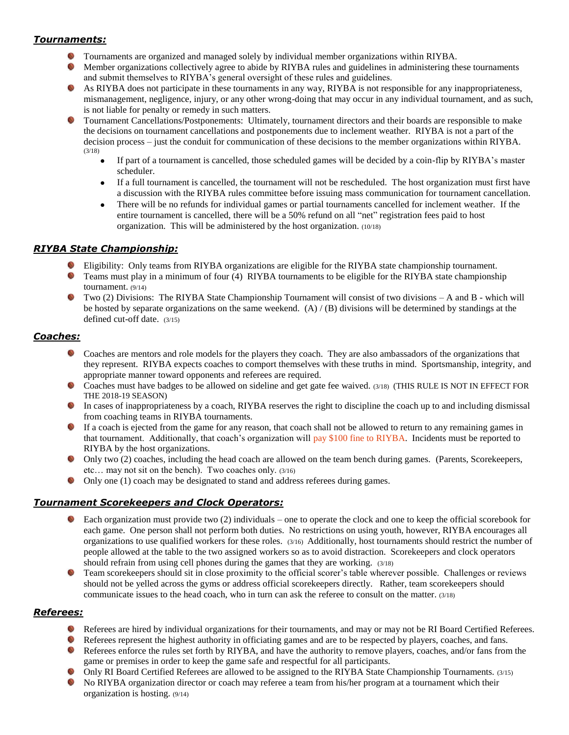# *Tournaments:*

- Tournaments are organized and managed solely by individual member organizations within RIYBA.
- Member organizations collectively agree to abide by RIYBA rules and guidelines in administering these tournaments  $\mathbb{Q}$ and submit themselves to RIYBA's general oversight of these rules and guidelines.
- As RIYBA does not participate in these tournaments in any way, RIYBA is not responsible for any inappropriateness, mismanagement, negligence, injury, or any other wrong-doing that may occur in any individual tournament, and as such, is not liable for penalty or remedy in such matters.
- Tournament Cancellations/Postponements: Ultimately, tournament directors and their boards are responsible to make the decisions on tournament cancellations and postponements due to inclement weather. RIYBA is not a part of the decision process – just the conduit for communication of these decisions to the member organizations within RIYBA. (3/18)
	- If part of a tournament is cancelled, those scheduled games will be decided by a coin-flip by RIYBA's master scheduler.
	- If a full tournament is cancelled, the tournament will not be rescheduled. The host organization must first have a discussion with the RIYBA rules committee before issuing mass communication for tournament cancellation.
	- There will be no refunds for individual games or partial tournaments cancelled for inclement weather. If the entire tournament is cancelled, there will be a 50% refund on all "net" registration fees paid to host organization. This will be administered by the host organization. (10/18)

# *RIYBA State Championship:*

- Eligibility: Only teams from RIYBA organizations are eligible for the RIYBA state championship tournament.
- **T** Teams must play in a minimum of four (4) RIYBA tournaments to be eligible for the RIYBA state championship tournament. (9/14)
- $\bullet$  Two (2) Divisions: The RIYBA State Championship Tournament will consist of two divisions A and B which will be hosted by separate organizations on the same weekend. (A) / (B) divisions will be determined by standings at the defined cut-off date. (3/15)

## *Coaches:*

- $\mathbb{Z}$ Coaches are mentors and role models for the players they coach. They are also ambassadors of the organizations that they represent. RIYBA expects coaches to comport themselves with these truths in mind. Sportsmanship, integrity, and appropriate manner toward opponents and referees are required.
- Coaches must have badges to be allowed on sideline and get gate fee waived. (3/18) (THIS RULE IS NOT IN EFFECT FOR THE 2018-19 SEASON)
- In cases of inappropriateness by a coach, RIYBA reserves the right to discipline the coach up to and including dismissal from coaching teams in RIYBA tournaments.
- If a coach is ejected from the game for any reason, that coach shall not be allowed to return to any remaining games in that tournament. Additionally, that coach's organization will pay \$100 fine to RIYBA. Incidents must be reported to RIYBA by the host organizations.
- Only two (2) coaches, including the head coach are allowed on the team bench during games. (Parents, Scorekeepers, etc… may not sit on the bench). Two coaches only. (3/16)
- Only one (1) coach may be designated to stand and address referees during games.

# *Tournament Scorekeepers and Clock Operators:*

- Each organization must provide two (2) individuals one to operate the clock and one to keep the official scorebook for each game. One person shall not perform both duties. No restrictions on using youth, however, RIYBA encourages all organizations to use qualified workers for these roles. (3/16) Additionally, host tournaments should restrict the number of people allowed at the table to the two assigned workers so as to avoid distraction. Scorekeepers and clock operators should refrain from using cell phones during the games that they are working. (3/18)
- Team scorekeepers should sit in close proximity to the official scorer's table wherever possible. Challenges or reviews should not be yelled across the gyms or address official scorekeepers directly. Rather, team scorekeepers should communicate issues to the head coach, who in turn can ask the referee to consult on the matter. (3/18)

## *Referees:*

- Referees are hired by individual organizations for their tournaments, and may or may not be RI Board Certified Referees.
- Referees represent the highest authority in officiating games and are to be respected by players, coaches, and fans.
- Referees enforce the rules set forth by RIYBA, and have the authority to remove players, coaches, and/or fans from the game or premises in order to keep the game safe and respectful for all participants.
- Only RI Board Certified Referees are allowed to be assigned to the RIYBA State Championship Tournaments. (3/15)
- $\mathbb{Z}$ No RIYBA organization director or coach may referee a team from his/her program at a tournament which their organization is hosting. (9/14)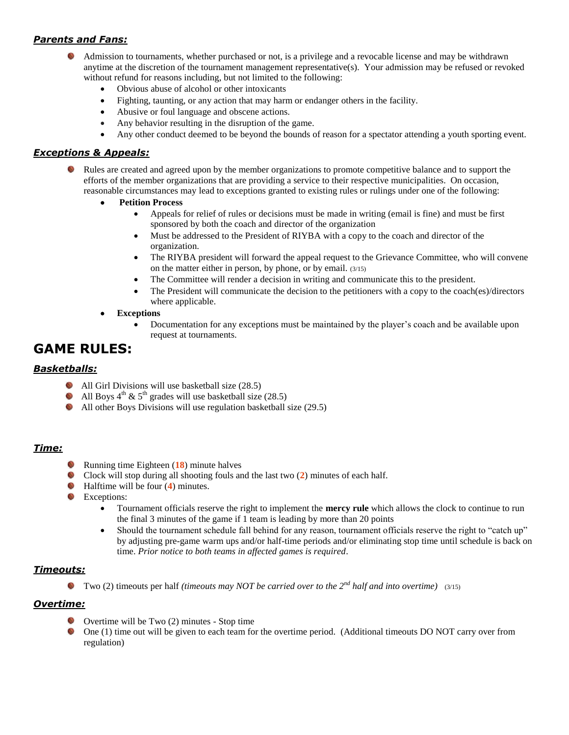# *Parents and Fans:*

- Admission to tournaments, whether purchased or not, is a privilege and a revocable license and may be withdrawn anytime at the discretion of the tournament management representative(s). Your admission may be refused or revoked without refund for reasons including, but not limited to the following:
	- Obvious abuse of alcohol or other intoxicants
	- Fighting, taunting, or any action that may harm or endanger others in the facility.
	- Abusive or foul language and obscene actions.
	- Any behavior resulting in the disruption of the game.
	- Any other conduct deemed to be beyond the bounds of reason for a spectator attending a youth sporting event.

## *Exceptions & Appeals:*

- Rules are created and agreed upon by the member organizations to promote competitive balance and to support the efforts of the member organizations that are providing a service to their respective municipalities. On occasion, reasonable circumstances may lead to exceptions granted to existing rules or rulings under one of the following:
	- **Petition Process**
		- Appeals for relief of rules or decisions must be made in writing (email is fine) and must be first sponsored by both the coach and director of the organization
		- Must be addressed to the President of RIYBA with a copy to the coach and director of the organization.
		- The RIYBA president will forward the appeal request to the Grievance Committee, who will convene on the matter either in person, by phone, or by email. (3/15)
		- The Committee will render a decision in writing and communicate this to the president.
		- The President will communicate the decision to the petitioners with a copy to the coach(es)/directors where applicable.
	- **Exceptions**
		- Documentation for any exceptions must be maintained by the player's coach and be available upon request at tournaments.

# **GAME RULES:**

## *Basketballs:*

- All Girl Divisions will use basketball size (28.5)
- All Boys  $4^{th}$  &  $5^{th}$  grades will use basketball size (28.5)  $\mathbb{Z}$
- All other Boys Divisions will use regulation basketball size (29.5)

## *Time:*

- Running time Eighteen (**18**) minute halves
- Clock will stop during all shooting fouls and the last two (**2**) minutes of each half.
- Halftime will be four (**4**) minutes.
- **Exceptions:** 
	- Tournament officials reserve the right to implement the **mercy rule** which allows the clock to continue to run the final 3 minutes of the game if 1 team is leading by more than 20 points
	- Should the tournament schedule fall behind for any reason, tournament officials reserve the right to "catch up" by adjusting pre-game warm ups and/or half-time periods and/or eliminating stop time until schedule is back on time. *Prior notice to both teams in affected games is required*.

# *Timeouts:*

Two (2) timeouts per half *(timeouts may NOT be carried over to the 2nd half and into overtime)* (3/15)

# *Overtime:*

- Overtime will be Two (2) minutes Stop time
- One (1) time out will be given to each team for the overtime period. (Additional timeouts DO NOT carry over from regulation)